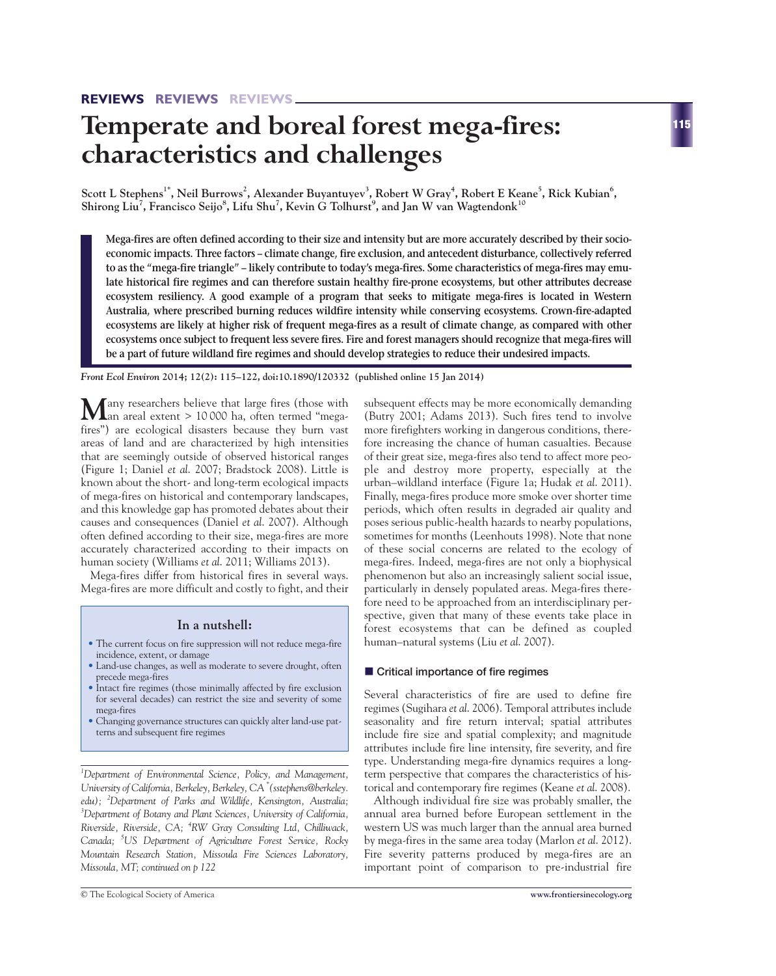# **Temperate and boreal forest mega-fires: characteristics and challenges**

 $\,$ Scott L Stephens $^1$ , Neil Burrows $^2$ , Alexander Buyantuyev $^3$ , Robert W Gray $^4$ , Robert E Keane $^5$ , Rick Kubian $^6$ , **Shirong Liu7 , Francisco Seijo<sup>8</sup> , Lifu Shu<sup>7</sup> , Kevin G Tolhurst9 , and Jan W van Wagtendonk<sup>10</sup>**

**Mega-fires are often defined according to their size and intensity but are more accurately described by their socioeconomic impacts. Three factors – climate change, fire exclusion, and antecedent disturbance, collectively referred to as the "mega-fire triangle" – likely contribute to today's mega-fires. Some characteristics of mega-fires may emulate historical fire regimes and can therefore sustain healthy fire-prone ecosystems, but other attributes decrease ecosystem resiliency. A good example of a program that seeks to mitigate mega-fires is located in Western Australia, where prescribed burning reduces wildfire intensity while conserving ecosystems. Crown-fire-adapted ecosystems are likely at higher risk of frequent mega-fires as a result of climate change, as compared with other ecosystems once subject to frequent less severe fires. Fire and forest managers should recognize that mega-fires will be a part of future wildland fire regimes and should develop strategies to reduce their undesired impacts.** 

*Front Ecol Environ* **2014; 12(2): 115–122, doi:10.1890/120332 (published online 15 Jan 2014)**

**M**any researchers believe that large fires (those with an areal extent > 10 000 ha, often termed "megafires") are ecological disasters because they burn vast areas of land and are characterized by high intensities that are seemingly outside of observed historical ranges (Figure 1; Daniel *et al*. 2007; Bradstock 2008). Little is known about the short- and long-term ecological impacts of mega-fires on historical and contemporary landscapes, and this knowledge gap has promoted debates about their causes and consequences (Daniel *et al*. 2007). Although often defined according to their size, mega-fires are more accurately characterized according to their impacts on human society (Williams *et al*. 2011; Williams 2013).

Mega-fires differ from historical fires in several ways. Mega-fires are more difficult and costly to fight, and their

# **In a nutshell:**

- The current focus on fire suppression will not reduce mega-fire incidence, extent, or damage
- Land-use changes, as well as moderate to severe drought, often precede mega-fires
- Intact fire regimes (those minimally affected by fire exclusion for several decades) can restrict the size and severity of some mega-fires
- Changing governance structures can quickly alter land-use patterns and subsequent fire regimes

*1 Department of Environmental Science, Policy, and Management, University of California, Berkeley, Berkeley, CA \* (sstephens@berkeley. edu); <sup>2</sup> Department of Parks and Wildlife, Kensington, Australia; 3 Department of Botany and Plant Sciences, University of California, Riverside, Riverside, CA; <sup>4</sup> RW Gray Consulting Ltd, Chilliwack, Canada; <sup>5</sup> US Department of Agriculture Forest Service, Rocky Mountain Research Station, Missoula Fire Sciences Laboratory, Missoula, MT; continued on p 122*

subsequent effects may be more economically demanding (Butry 2001; Adams 2013). Such fires tend to involve more firefighters working in dangerous conditions, therefore increasing the chance of human casualties. Because of their great size, mega-fires also tend to affect more people and destroy more property, especially at the urban–wildland interface (Figure 1a; Hudak *et al*. 2011). Finally, mega-fires produce more smoke over shorter time periods, which often results in degraded air quality and poses serious public-health hazards to nearby populations, sometimes for months (Leenhouts 1998). Note that none of these social concerns are related to the ecology of mega-fires. Indeed, mega-fires are not only a biophysical phenomenon but also an increasingly salient social issue, particularly in densely populated areas. Mega-fires therefore need to be approached from an interdisciplinary perspective, given that many of these events take place in forest ecosystems that can be defined as coupled human–natural systems (Liu *et al*. 2007).

## ■ Critical importance of fire regimes

Several characteristics of fire are used to define fire regimes (Sugihara *et al*. 2006). Temporal attributes include seasonality and fire return interval; spatial attributes include fire size and spatial complexity; and magnitude attributes include fire line intensity, fire severity, and fire type. Understanding mega-fire dynamics requires a longterm perspective that compares the characteristics of historical and contemporary fire regimes (Keane *et al*. 2008).

Although individual fire size was probably smaller, the annual area burned before European settlement in the western US was much larger than the annual area burned by mega-fires in the same area today (Marlon *et al*. 2012). Fire severity patterns produced by mega-fires are an important point of comparison to pre-industrial fire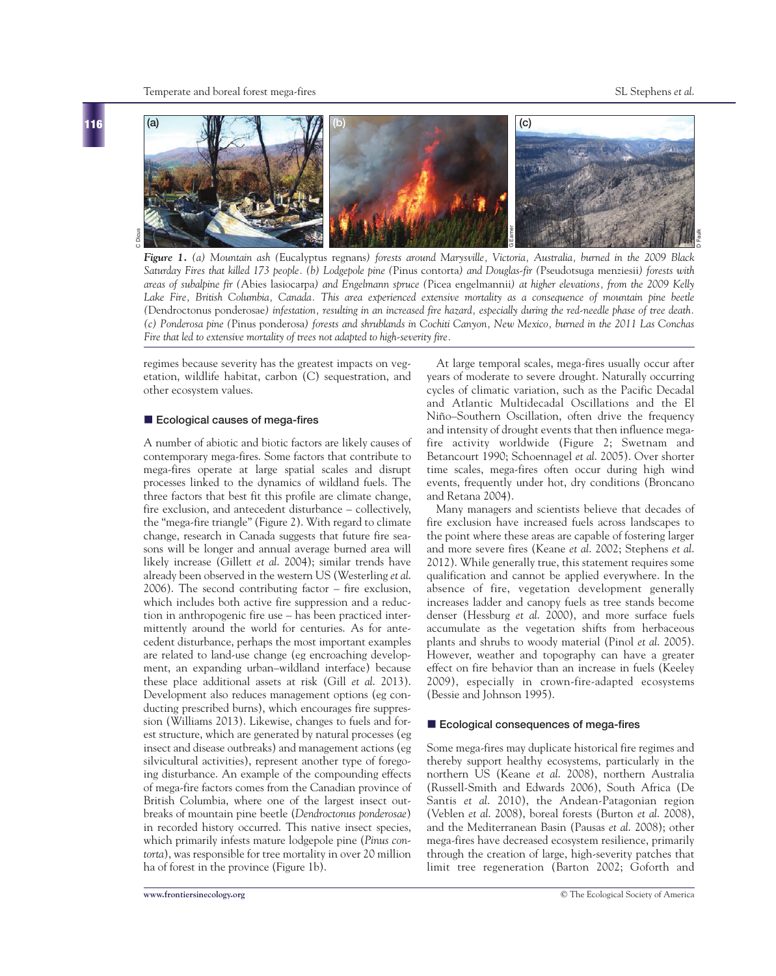**116**



*Figure 1. (a) Mountain ash (*Eucalyptus regnans*) forests around Marysville, Victoria, Australia, burned in the 2009 Black Saturday Fires that killed 173 people. (b) Lodgepole pine (*Pinus contorta*) and Douglas-fir (*Pseudotsuga menziesii*) forests with areas of subalpine fir (*Abies lasiocarpa*) and Engelmann spruce (*Picea engelmannii*) at higher elevations, from the 2009 Kelly Lake Fire, British Columbia, Canada. This area experienced extensive mortality as a consequence of mountain pine beetle (*Dendroctonus ponderosae*) infestation, resulting in an increased fire hazard, especially during the red-needle phase of tree death. (c) Ponderosa pine (*Pinus ponderosa*) forests and shrublands in Cochiti Canyon, New Mexico, burned in the 2011 Las Conchas Fire that led to extensive mortality of trees not adapted to high-severity fire.*

regimes because severity has the greatest impacts on vegetation, wildlife habitat, carbon (C) sequestration, and other ecosystem values.

#### ■ Ecological causes of mega-fires

A number of abiotic and biotic factors are likely causes of contemporary mega-fires. Some factors that contribute to mega-fires operate at large spatial scales and disrupt processes linked to the dynamics of wildland fuels. The three factors that best fit this profile are climate change, fire exclusion, and antecedent disturbance – collectively, the "mega-fire triangle" (Figure 2). With regard to climate change, research in Canada suggests that future fire seasons will be longer and annual average burned area will likely increase (Gillett *et al*. 2004); similar trends have already been observed in the western US (Westerling *et al*. 2006). The second contributing factor – fire exclusion, which includes both active fire suppression and a reduction in anthropogenic fire use – has been practiced intermittently around the world for centuries. As for antecedent disturbance, perhaps the most important examples are related to land-use change (eg encroaching development, an expanding urban–wildland interface) because these place additional assets at risk (Gill *et al*. 2013). Development also reduces management options (eg conducting prescribed burns), which encourages fire suppression (Williams 2013). Likewise, changes to fuels and forest structure, which are generated by natural processes (eg insect and disease outbreaks) and management actions (eg silvicultural activities), represent another type of foregoing disturbance. An example of the compounding effects of mega-fire factors comes from the Canadian province of British Columbia, where one of the largest insect outbreaks of mountain pine beetle (*Dendroctonus ponderosae*) in recorded history occurred. This native insect species, which primarily infests mature lodgepole pine (*Pinus contorta*), was responsible for tree mortality in over 20 million ha of forest in the province (Figure 1b).

At large temporal scales, mega-fires usually occur after years of moderate to severe drought. Naturally occurring cycles of climatic variation, such as the Pacific Decadal and Atlantic Multidecadal Oscillations and the El Niño–Southern Oscillation, often drive the frequency and intensity of drought events that then influence megafire activity worldwide (Figure 2; Swetnam and Betancourt 1990; Schoennagel *et al*. 2005). Over shorter time scales, mega-fires often occur during high wind events, frequently under hot, dry conditions (Broncano and Retana 2004).

Many managers and scientists believe that decades of fire exclusion have increased fuels across landscapes to the point where these areas are capable of fostering larger and more severe fires (Keane *et al*. 2002; Stephens *et al*. 2012). While generally true, this statement requires some qualification and cannot be applied everywhere. In the absence of fire, vegetation development generally increases ladder and canopy fuels as tree stands become denser (Hessburg *et al*. 2000), and more surface fuels accumulate as the vegetation shifts from herbaceous plants and shrubs to woody material (Pinol *et al*. 2005). However, weather and topography can have a greater effect on fire behavior than an increase in fuels (Keeley 2009), especially in crown-fire-adapted ecosystems (Bessie and Johnson 1995).

### **Ecological consequences of mega-fires**

Some mega-fires may duplicate historical fire regimes and thereby support healthy ecosystems, particularly in the northern US (Keane *et al*. 2008), northern Australia (Russell-Smith and Edwards 2006), South Africa (De Santis *et al*. 2010), the Andean-Patagonian region (Veblen *et al*. 2008), boreal forests (Burton *et al*. 2008), and the Mediterranean Basin (Pausas *et al*. 2008); other mega-fires have decreased ecosystem resilience, primarily through the creation of large, high-severity patches that limit tree regeneration (Barton 2002; Goforth and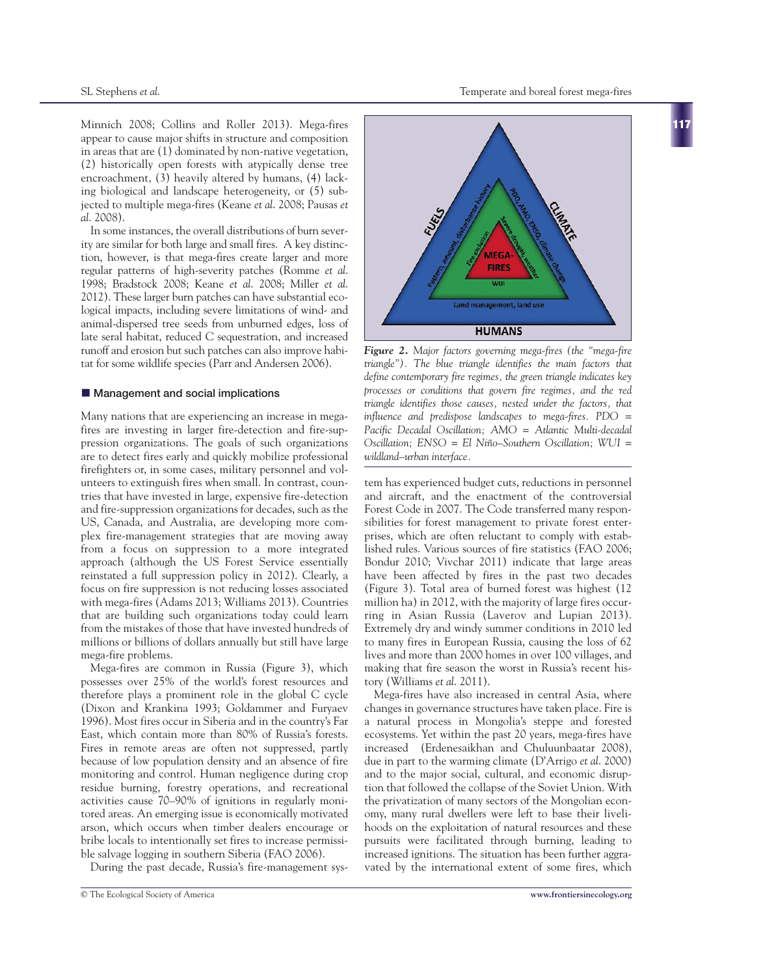Minnich 2008; Collins and Roller 2013). Mega-fires appear to cause major shifts in structure and composition in areas that are (1) dominated by non-native vegetation, (2) historically open forests with atypically dense tree encroachment, (3) heavily altered by humans, (4) lacking biological and landscape heterogeneity, or (5) subjected to multiple mega-fires (Keane *et al*. 2008; Pausas *et al*. 2008).

In some instances, the overall distributions of burn severity are similar for both large and small fires. A key distinction, however, is that mega-fires create larger and more regular patterns of high-severity patches (Romme *et al*. 1998; Bradstock 2008; Keane *et al*. 2008; Miller *et al*. 2012). These larger burn patches can have substantial ecological impacts, including severe limitations of wind- and animal-dispersed tree seeds from unburned edges, loss of late seral habitat, reduced C sequestration, and increased runoff and erosion but such patches can also improve habitat for some wildlife species (Parr and Andersen 2006).

## ■ Management and social implications

Many nations that are experiencing an increase in megafires are investing in larger fire-detection and fire-suppression organizations. The goals of such organizations are to detect fires early and quickly mobilize professional firefighters or, in some cases, military personnel and volunteers to extinguish fires when small. In contrast, countries that have invested in large, expensive fire-detection and fire-suppression organizations for decades, such as the US, Canada, and Australia, are developing more complex fire-management strategies that are moving away from a focus on suppression to a more integrated approach (although the US Forest Service essentially reinstated a full suppression policy in 2012). Clearly, a focus on fire suppression is not reducing losses associated with mega-fires (Adams 2013; Williams 2013). Countries that are building such organizations today could learn from the mistakes of those that have invested hundreds of millions or billions of dollars annually but still have large mega-fire problems.

Mega-fires are common in Russia (Figure 3), which possesses over 25% of the world's forest resources and therefore plays a prominent role in the global C cycle (Dixon and Krankina 1993; Goldammer and Furyaev 1996). Most fires occur in Siberia and in the country's Far East, which contain more than 80% of Russia's forests. Fires in remote areas are often not suppressed, partly because of low population density and an absence of fire monitoring and control. Human negligence during crop residue burning, forestry operations, and recreational activities cause 70–90% of ignitions in regularly monitored areas. An emerging issue is economically motivated arson, which occurs when timber dealers encourage or bribe locals to intentionally set fires to increase permissible salvage logging in southern Siberia (FAO 2006).

During the past decade, Russia's fire-management sys-



*Figure 2. Major factors governing mega-fires (the "mega-fire triangle"). The blue triangle identifies the main factors that define contemporary fire regimes, the green triangle indicates key processes or conditions that govern fire regimes, and the red triangle identifies those causes, nested under the factors, that influence and predispose landscapes to mega-fires. PDO = Pacific Decadal Oscillation; AMO = Atlantic Multi-decadal Oscillation; ENSO = El Niño–Southern Oscillation; WUI = wildland–urban interface.*

tem has experienced budget cuts, reductions in personnel and aircraft, and the enactment of the controversial Forest Code in 2007. The Code transferred many responsibilities for forest management to private forest enterprises, which are often reluctant to comply with established rules. Various sources of fire statistics (FAO 2006; Bondur 2010; Vivchar 2011) indicate that large areas have been affected by fires in the past two decades (Figure 3). Total area of burned forest was highest (12 million ha) in 2012, with the majority of large fires occurring in Asian Russia (Laverov and Lupian 2013). Extremely dry and windy summer conditions in 2010 led to many fires in European Russia, causing the loss of 62 lives and more than 2000 homes in over 100 villages, and making that fire season the worst in Russia's recent history (Williams *et al*. 2011).

Mega-fires have also increased in central Asia, where changes in governance structures have taken place. Fire is a natural process in Mongolia's steppe and forested ecosystems. Yet within the past 20 years, mega-fires have increased (Erdenesaikhan and Chuluunbaatar 2008), due in part to the warming climate (D'Arrigo *et al*. 2000) and to the major social, cultural, and economic disruption that followed the collapse of the Soviet Union. With the privatization of many sectors of the Mongolian economy, many rural dwellers were left to base their livelihoods on the exploitation of natural resources and these pursuits were facilitated through burning, leading to increased ignitions. The situation has been further aggravated by the international extent of some fires, which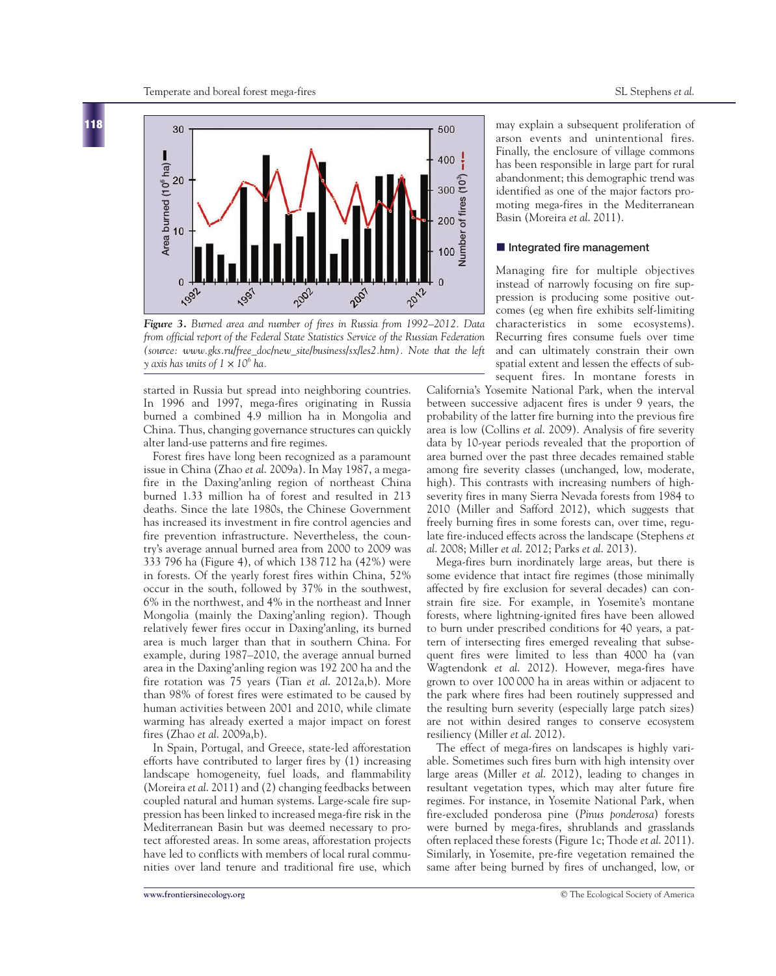

*Figure 3. Burned area and number of fires in Russia from 1992–2012. Data from official report of the Federal State Statistics Service of the Russian Federation (source: www.gks.ru/free\_doc/new\_site/business/sx/les2.htm). Note that the left*

started in Russia but spread into neighboring countries. In 1996 and 1997, mega-fires originating in Russia burned a combined 4.9 million ha in Mongolia and China. Thus, changing governance structures can quickly alter land-use patterns and fire regimes.

Forest fires have long been recognized as a paramount issue in China (Zhao *et al*. 2009a). In May 1987, a megafire in the Daxing'anling region of northeast China burned 1.33 million ha of forest and resulted in 213 deaths. Since the late 1980s, the Chinese Government has increased its investment in fire control agencies and fire prevention infrastructure. Nevertheless, the country's average annual burned area from 2000 to 2009 was 333 796 ha (Figure 4), of which 138 712 ha (42%) were in forests. Of the yearly forest fires within China, 52% occur in the south, followed by 37% in the southwest, 6% in the northwest, and 4% in the northeast and Inner Mongolia (mainly the Daxing'anling region). Though relatively fewer fires occur in Daxing'anling, its burned area is much larger than that in southern China. For example, during 1987–2010, the average annual burned area in the Daxing'anling region was 192 200 ha and the fire rotation was 75 years (Tian *et al*. 2012a,b). More than 98% of forest fires were estimated to be caused by human activities between 2001 and 2010, while climate warming has already exerted a major impact on forest fires (Zhao *et al*. 2009a,b).

In Spain, Portugal, and Greece, state-led afforestation efforts have contributed to larger fires by (1) increasing landscape homogeneity, fuel loads, and flammability (Moreira *et al*. 2011) and (2) changing feedbacks between coupled natural and human systems. Large-scale fire suppression has been linked to increased mega-fire risk in the Mediterranean Basin but was deemed necessary to protect afforested areas. In some areas, afforestation projects have led to conflicts with members of local rural communities over land tenure and traditional fire use, which

may explain a subsequent proliferation of arson events and unintentional fires. Finally, the enclosure of village commons has been responsible in large part for rural abandonment; this demographic trend was identified as one of the major factors promoting mega-fires in the Mediterranean Basin (Moreira *et al*. 2011).

#### **n** Integrated fire management

Managing fire for multiple objectives instead of narrowly focusing on fire suppression is producing some positive outcomes (eg when fire exhibits self-limiting characteristics in some ecosystems). Recurring fires consume fuels over time and can ultimately constrain their own spatial extent and lessen the effects of subsequent fires. In montane forests in

California's Yosemite National Park, when the interval between successive adjacent fires is under 9 years, the probability of the latter fire burning into the previous fire area is low (Collins *et al*. 2009). Analysis of fire severity data by 10-year periods revealed that the proportion of area burned over the past three decades remained stable among fire severity classes (unchanged, low, moderate, high). This contrasts with increasing numbers of highseverity fires in many Sierra Nevada forests from 1984 to 2010 (Miller and Safford 2012), which suggests that freely burning fires in some forests can, over time, regulate fire-induced effects across the landscape (Stephens *et al*. 2008; Miller *et al*. 2012; Parks *et al*. 2013).

Mega-fires burn inordinately large areas, but there is some evidence that intact fire regimes (those minimally affected by fire exclusion for several decades) can constrain fire size. For example, in Yosemite's montane forests, where lightning-ignited fires have been allowed to burn under prescribed conditions for 40 years, a pattern of intersecting fires emerged revealing that subsequent fires were limited to less than 4000 ha (van Wagtendonk *et al*. 2012). However, mega-fires have grown to over 100 000 ha in areas within or adjacent to the park where fires had been routinely suppressed and the resulting burn severity (especially large patch sizes) are not within desired ranges to conserve ecosystem resiliency (Miller *et al*. 2012).

The effect of mega-fires on landscapes is highly variable. Sometimes such fires burn with high intensity over large areas (Miller *et al*. 2012), leading to changes in resultant vegetation types, which may alter future fire regimes. For instance, in Yosemite National Park, when fire-excluded ponderosa pine (*Pinus ponderosa*) forests were burned by mega-fires, shrublands and grasslands often replaced these forests (Figure 1c; Thode *et al*. 2011). Similarly, in Yosemite, pre-fire vegetation remained the same after being burned by fires of unchanged, low, or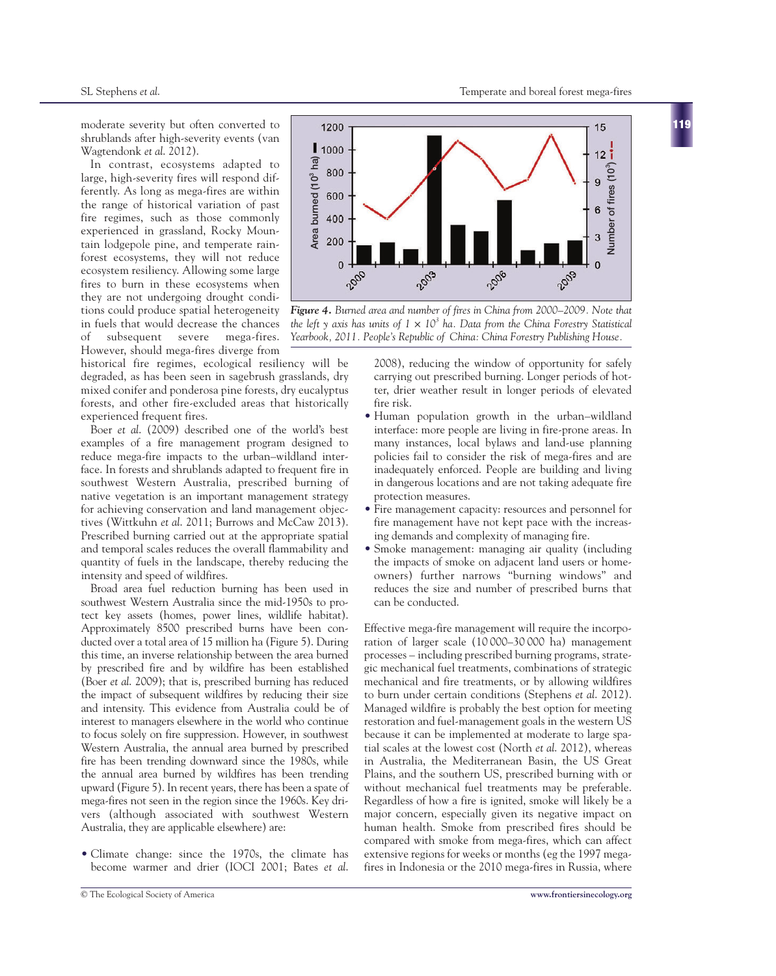**119**

moderate severity but often converted to shrublands after high-severity events (van Wagtendonk *et al*. 2012).

In contrast, ecosystems adapted to large, high-severity fires will respond differently. As long as mega-fires are within the range of historical variation of past fire regimes, such as those commonly experienced in grassland, Rocky Mountain lodgepole pine, and temperate rainforest ecosystems, they will not reduce ecosystem resiliency. Allowing some large fires to burn in these ecosystems when they are not undergoing drought conditions could produce spatial heterogeneity in fuels that would decrease the chances of subsequent severe mega-fires. However, should mega-fires diverge from

historical fire regimes, ecological resiliency will be degraded, as has been seen in sagebrush grasslands, dry mixed conifer and ponderosa pine forests, dry eucalyptus forests, and other fire-excluded areas that historically experienced frequent fires.

Boer *et al*. (2009) described one of the world's best examples of a fire management program designed to reduce mega-fire impacts to the urban–wildland interface. In forests and shrublands adapted to frequent fire in southwest Western Australia, prescribed burning of native vegetation is an important management strategy for achieving conservation and land management objectives (Wittkuhn *et al*. 2011; Burrows and McCaw 2013). Prescribed burning carried out at the appropriate spatial and temporal scales reduces the overall flammability and quantity of fuels in the landscape, thereby reducing the intensity and speed of wildfires.

Broad area fuel reduction burning has been used in southwest Western Australia since the mid-1950s to protect key assets (homes, power lines, wildlife habitat). Approximately 8500 prescribed burns have been conducted over a total area of 15 million ha (Figure 5). During this time, an inverse relationship between the area burned by prescribed fire and by wildfire has been established (Boer *et al*. 2009); that is, prescribed burning has reduced the impact of subsequent wildfires by reducing their size and intensity. This evidence from Australia could be of interest to managers elsewhere in the world who continue to focus solely on fire suppression. However, in southwest Western Australia, the annual area burned by prescribed fire has been trending downward since the 1980s, while the annual area burned by wildfires has been trending upward (Figure 5). In recent years, there has been a spate of mega-fires not seen in the region since the 1960s. Key drivers (although associated with southwest Western Australia, they are applicable elsewhere) are:

• Climate change: since the 1970s, the climate has become warmer and drier (IOCI 2001; Bates *et al*.



*Figure 4. Burned area and number of fires in China from 2000–2009. Note that the left y axis has units of*  $1 \times 10^3$  *ha. Data from the China Forestry Statistical* 

2008), reducing the window of opportunity for safely carrying out prescribed burning. Longer periods of hotter, drier weather result in longer periods of elevated fire risk.

- Human population growth in the urban–wildland interface: more people are living in fire-prone areas. In many instances, local bylaws and land-use planning policies fail to consider the risk of mega-fires and are inadequately enforced. People are building and living in dangerous locations and are not taking adequate fire protection measures.
- Fire management capacity: resources and personnel for fire management have not kept pace with the increasing demands and complexity of managing fire.
- Smoke management: managing air quality (including the impacts of smoke on adjacent land users or homeowners) further narrows "burning windows" and reduces the size and number of prescribed burns that can be conducted.

Effective mega-fire management will require the incorporation of larger scale (10 000–30 000 ha) management processes – including prescribed burning programs, strategic mechanical fuel treatments, combinations of strategic mechanical and fire treatments, or by allowing wildfires to burn under certain conditions (Stephens *et al*. 2012). Managed wildfire is probably the best option for meeting restoration and fuel-management goals in the western US because it can be implemented at moderate to large spatial scales at the lowest cost (North *et al*. 2012), whereas in Australia, the Mediterranean Basin, the US Great Plains, and the southern US, prescribed burning with or without mechanical fuel treatments may be preferable. Regardless of how a fire is ignited, smoke will likely be a major concern, especially given its negative impact on human health. Smoke from prescribed fires should be compared with smoke from mega-fires, which can affect extensive regions for weeks or months (eg the 1997 megafires in Indonesia or the 2010 mega-fires in Russia, where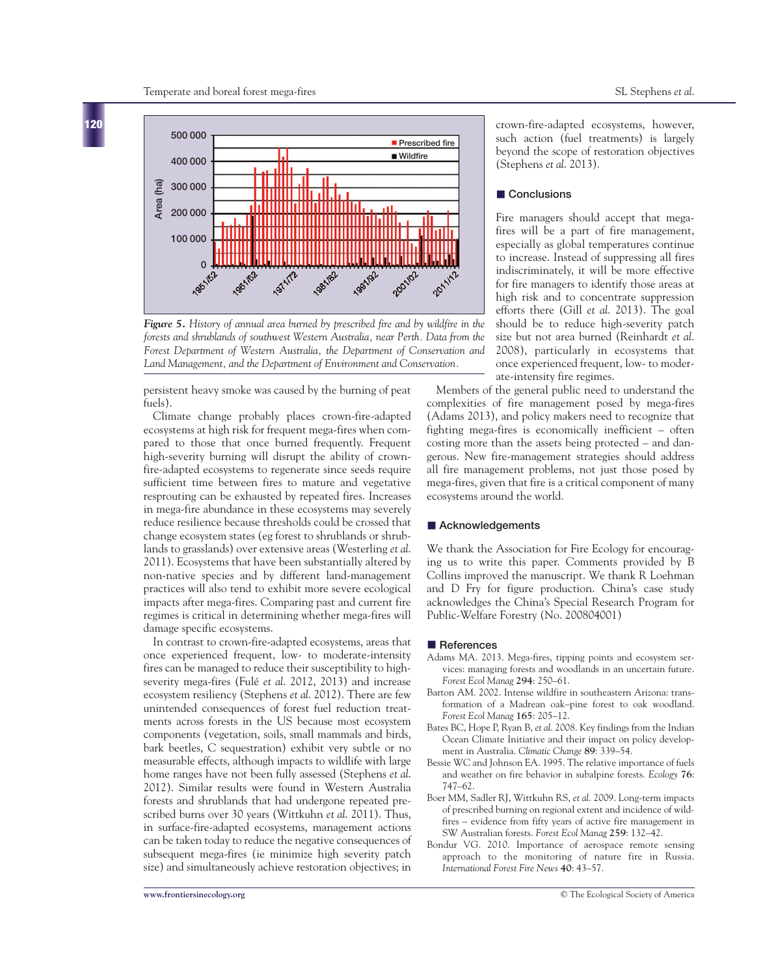

*Figure 5. History of annual area burned by prescribed fire and by wildfire in the forests and shrublands of southwest Western Australia, near Perth. Data from the Forest Department of Western Australia, the Department of Conservation and Land Management, and the Department of Environment and Conservation.*

persistent heavy smoke was caused by the burning of peat fuels).

Climate change probably places crown-fire-adapted ecosystems at high risk for frequent mega-fires when compared to those that once burned frequently. Frequent high-severity burning will disrupt the ability of crownfire-adapted ecosystems to regenerate since seeds require sufficient time between fires to mature and vegetative resprouting can be exhausted by repeated fires. Increases in mega-fire abundance in these ecosystems may severely reduce resilience because thresholds could be crossed that change ecosystem states (eg forest to shrublands or shrublands to grasslands) over extensive areas (Westerling *et al*. 2011). Ecosystems that have been substantially altered by non-native species and by different land-management practices will also tend to exhibit more severe ecological impacts after mega-fires. Comparing past and current fire regimes is critical in determining whether mega-fires will damage specific ecosystems.

In contrast to crown-fire-adapted ecosystems, areas that once experienced frequent, low- to moderate-intensity fires can be managed to reduce their susceptibility to highseverity mega-fires (Fulé *et al*. 2012, 2013) and increase ecosystem resiliency (Stephens *et al*. 2012). There are few unintended consequences of forest fuel reduction treatments across forests in the US because most ecosystem components (vegetation, soils, small mammals and birds, bark beetles, C sequestration) exhibit very subtle or no measurable effects, although impacts to wildlife with large home ranges have not been fully assessed (Stephens *et al*. 2012). Similar results were found in Western Australia forests and shrublands that had undergone repeated prescribed burns over 30 years (Wittkuhn *et al*. 2011). Thus, in surface-fire-adapted ecosystems, management actions can be taken today to reduce the negative consequences of subsequent mega-fires (ie minimize high severity patch size) and simultaneously achieve restoration objectives; in

crown-fire-adapted ecosystems, however, such action (fuel treatments) is largely beyond the scope of restoration objectives (Stephens *et al*. 2013).

### ■ Conclusions

Fire managers should accept that megafires will be a part of fire management, especially as global temperatures continue to increase. Instead of suppressing all fires indiscriminately, it will be more effective for fire managers to identify those areas at high risk and to concentrate suppression efforts there (Gill *et al*. 2013). The goal should be to reduce high-severity patch size but not area burned (Reinhardt *et al*. 2008), particularly in ecosystems that once experienced frequent, low- to moderate-intensity fire regimes.

Members of the general public need to understand the complexities of fire management posed by mega-fires (Adams 2013), and policy makers need to recognize that fighting mega-fires is economically inefficient – often costing more than the assets being protected – and dangerous. New fire-management strategies should address all fire management problems, not just those posed by mega-fires, given that fire is a critical component of many ecosystems around the world.

## ■ Acknowledgements

We thank the Association for Fire Ecology for encouraging us to write this paper. Comments provided by B Collins improved the manuscript. We thank R Loehman and D Fry for figure production. China's case study acknowledges the China's Special Research Program for Public-Welfare Forestry (No. 200804001)

#### **n** References

- Adams MA. 2013. Mega-fires, tipping points and ecosystem services: managing forests and woodlands in an uncertain future. *Forest Ecol Manag* **294**: 250–61.
- Barton AM. 2002. Intense wildfire in southeastern Arizona: transformation of a Madrean oak–pine forest to oak woodland. *Forest Ecol Manag* **165**: 205–12.
- Bates BC, Hope P, Ryan B, *et al*. 2008. Key findings from the Indian Ocean Climate Initiative and their impact on policy development in Australia. *Climatic Change* **89**: 339–54.
- Bessie WC and Johnson EA. 1995. The relative importance of fuels and weather on fire behavior in subalpine forests. *Ecology* **76**: 747–62.
- Boer MM, Sadler RJ, Wittkuhn RS, *et al*. 2009. Long-term impacts of prescribed burning on regional extent and incidence of wildfires – evidence from fifty years of active fire management in SW Australian forests. *Forest Ecol Manag* **259**: 132–42.
- Bondur VG. 2010. Importance of aerospace remote sensing approach to the monitoring of nature fire in Russia. *International Forest Fire News* **40**: 43–57.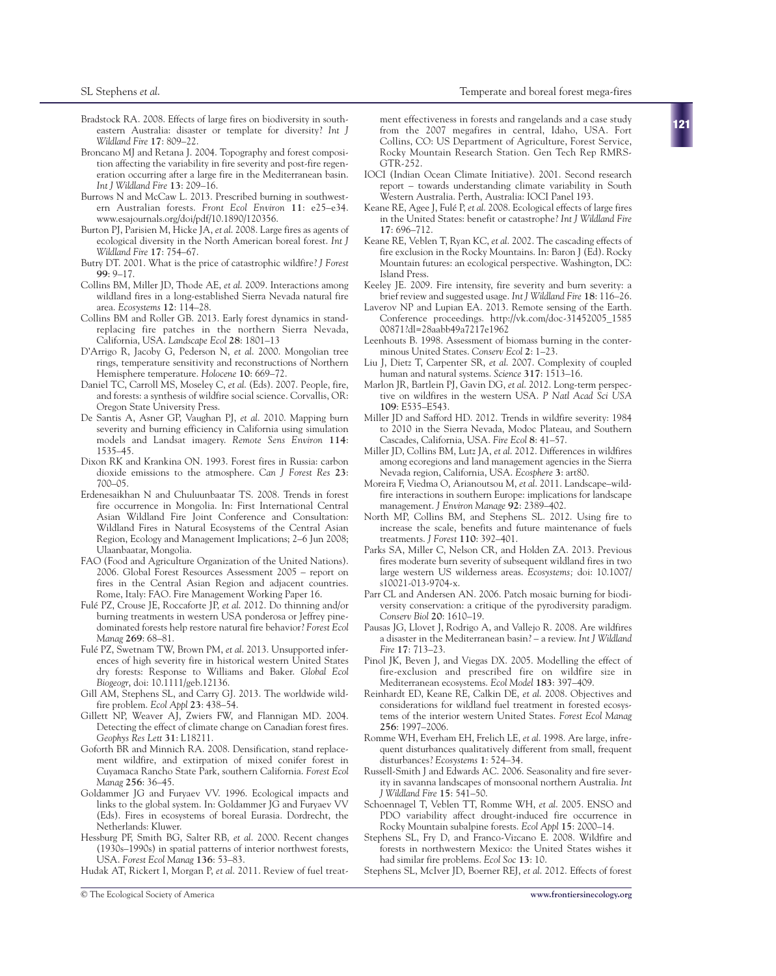- Bradstock RA. 2008. Effects of large fires on biodiversity in southeastern Australia: disaster or template for diversity? *Int J*
- *Wildland Fire* **17**: 809–22. Broncano MJ and Retana J. 2004. Topography and forest composition affecting the variability in fire severity and post-fire regeneration occurring after a large fire in the Mediterranean basin. *Int J Wildland Fire* **13**: 209–16.
- Burrows N and McCaw L. 2013. Prescribed burning in southwestern Australian forests. *Front Ecol Environ* **11**: e25–e34. www.esajournals.org/doi/pdf/10.1890/120356.
- Burton PJ, Parisien M, Hicke JA, *et al*. 2008. Large fires as agents of ecological diversity in the North American boreal forest. *Int J Wildland Fire* **17**: 754–67.
- Butry DT. 2001. What is the price of catastrophic wildfire? *J Forest* **99**: 9–17.
- Collins BM, Miller JD, Thode AE, *et al*. 2009. Interactions among wildland fires in a long-established Sierra Nevada natural fire area. *Ecosystems* **12**: 114–28.
- Collins BM and Roller GB. 2013. Early forest dynamics in standreplacing fire patches in the northern Sierra Nevada, California, USA. *Landscape Ecol* **28**: 1801–13
- D'Arrigo R, Jacoby G, Pederson N, *et al*. 2000. Mongolian tree rings, temperature sensitivity and reconstructions of Northern Hemisphere temperature. *Holocene* **10**: 669–72.
- Daniel TC, Carroll MS, Moseley C, *et al*. (Eds). 2007. People, fire, and forests: a synthesis of wildfire social science. Corvallis, OR: Oregon State University Press.
- De Santis A, Asner GP, Vaughan PJ, *et al*. 2010. Mapping burn severity and burning efficiency in California using simulation models and Landsat imagery. *Remote Sens Environ* **114**: 1535–45.
- Dixon RK and Krankina ON. 1993. Forest fires in Russia: carbon dioxide emissions to the atmosphere. *Can J Forest Res* **23**: 700–05.
- Erdenesaikhan N and Chuluunbaatar TS. 2008. Trends in forest fire occurrence in Mongolia. In: First International Central Asian Wildland Fire Joint Conference and Consultation: Wildland Fires in Natural Ecosystems of the Central Asian Region, Ecology and Management Implications; 2–6 Jun 2008; Ulaanbaatar, Mongolia.
- FAO (Food and Agriculture Organization of the United Nations). 2006. Global Forest Resources Assessment 2005 – report on fires in the Central Asian Region and adjacent countries. Rome, Italy: FAO. Fire Management Working Paper 16.
- Fulé PZ, Crouse JE, Roccaforte JP, *et al*. 2012. Do thinning and/or burning treatments in western USA ponderosa or Jeffrey pinedominated forests help restore natural fire behavior? *Forest Ecol Manag* **269**: 68–81.
- Fulé PZ, Swetnam TW, Brown PM, *et al*. 2013. Unsupported inferences of high severity fire in historical western United States dry forests: Response to Williams and Baker. *Global Ecol Biogeogr*, doi: 10.1111/geb.12136.
- Gill AM, Stephens SL, and Carry GJ. 2013. The worldwide wildfire problem. *Ecol Appl* **23**: 438–54.
- Gillett NP, Weaver AJ, Zwiers FW, and Flannigan MD. 2004. Detecting the effect of climate change on Canadian forest fires. *Geophys Res Lett* **31**: L18211.
- Goforth BR and Minnich RA. 2008. Densification, stand replacement wildfire, and extirpation of mixed conifer forest in Cuyamaca Rancho State Park, southern California. *Forest Ecol Manag* **256**: 36–45.
- Goldammer JG and Furyaev VV. 1996. Ecological impacts and links to the global system. In: Goldammer JG and Furyaev VV (Eds). Fires in ecosystems of boreal Eurasia. Dordrecht, the Netherlands: Kluwer.
- Hessburg PF, Smith BG, Salter RB, *et al*. 2000. Recent changes (1930s–1990s) in spatial patterns of interior northwest forests, USA. *Forest Ecol Manag* **136**: 53–83.

Hudak AT, Rickert I, Morgan P, *et al*. 2011. Review of fuel treat-

ment effectiveness in forests and rangelands and a case study from the 2007 megafires in central, Idaho, USA. Fort Collins, CO: US Department of Agriculture, Forest Service, Rocky Mountain Research Station. Gen Tech Rep RMRS-GTR-252.

- IOCI (Indian Ocean Climate Initiative). 2001. Second research report – towards understanding climate variability in South Western Australia. Perth, Australia: IOCI Panel 193.
- Keane RE, Agee J, Fulé P, *et al*. 2008. Ecological effects of large fires in the United States: benefit or catastrophe? *Int J Wildland Fire* **17**: 696–712.
- Keane RE, Veblen T, Ryan KC, *et al*. 2002. The cascading effects of fire exclusion in the Rocky Mountains. In: Baron J (Ed). Rocky Mountain futures: an ecological perspective. Washington, DC: Island Press.
- Keeley JE. 2009. Fire intensity, fire severity and burn severity: a brief review and suggested usage. *Int J Wildland Fire* **18**: 116–26.
- Laverov NP and Lupian EA. 2013. Remote sensing of the Earth. Conference proceedings. http://vk.com/doc-31452005\_1585 00871?dl=28aabb49a7217e1962
- Leenhouts B. 1998. Assessment of biomass burning in the conterminous United States. *Conserv Ecol* **2**: 1–23.
- Liu J, Dietz T, Carpenter SR, *et al*. 2007. Complexity of coupled human and natural systems. *Science* **317**: 1513–16.
- Marlon JR, Bartlein PJ, Gavin DG, *et al*. 2012. Long-term perspective on wildfires in the western USA. *P Natl Acad Sci USA* **109**: E535–E543.
- Miller JD and Safford HD. 2012. Trends in wildfire severity: 1984 to 2010 in the Sierra Nevada, Modoc Plateau, and Southern Cascades, California, USA. *Fire Ecol* **8**: 41–57.
- Miller JD, Collins BM, Lutz JA, *et al*. 2012. Differences in wildfires among ecoregions and land management agencies in the Sierra Nevada region, California, USA. *Ecosphere* **3**: art80.
- Moreira F, Viedma O, Arianoutsou M, *et al*. 2011. Landscape–wildfire interactions in southern Europe: implications for landscape management. *J Environ Manage* **92**: 2389–402.
- North MP, Collins BM, and Stephens SL. 2012. Using fire to increase the scale, benefits and future maintenance of fuels treatments. *J Forest* **110**: 392–401.
- Parks SA, Miller C, Nelson CR, and Holden ZA. 2013. Previous fires moderate burn severity of subsequent wildland fires in two large western US wilderness areas. *Ecosystems;* doi: 10.1007/ s10021-013-9704-x.
- Parr CL and Andersen AN. 2006. Patch mosaic burning for biodiversity conservation: a critique of the pyrodiversity paradigm. *Conserv Biol* **20**: 1610–19.
- Pausas JG, Llovet J, Rodrigo A, and Vallejo R. 2008. Are wildfires a disaster in the Mediterranean basin? – a review. *Int J Wildland Fire* **17**: 713–23.
- Pinol JK, Beven J, and Viegas DX. 2005. Modelling the effect of fire-exclusion and prescribed fire on wildfire size in Mediterranean ecosystems. *Ecol Model* **183**: 397–409.
- Reinhardt ED, Keane RE, Calkin DE, *et al*. 2008. Objectives and considerations for wildland fuel treatment in forested ecosystems of the interior western United States. *Forest Ecol Manag* **256**: 1997–2006.
- Romme WH, Everham EH, Frelich LE, *et al*. 1998. Are large, infrequent disturbances qualitatively different from small, frequent disturbances? *Ecosystems* **1**: 524–34.
- Russell-Smith J and Edwards AC. 2006. Seasonality and fire severity in savanna landscapes of monsoonal northern Australia. *Int J Wildland Fire* **15**: 541–50.
- Schoennagel T, Veblen TT, Romme WH, *et al*. 2005. ENSO and PDO variability affect drought-induced fire occurrence in Rocky Mountain subalpine forests. *Ecol Appl* **15**: 2000–14.
- Stephens SL, Fry D, and Franco-Vizcano E. 2008. Wildfire and forests in northwestern Mexico: the United States wishes it had similar fire problems. *Ecol Soc* **13**: 10.

Stephens SL, McIver JD, Boerner REJ, *et al*. 2012. Effects of forest